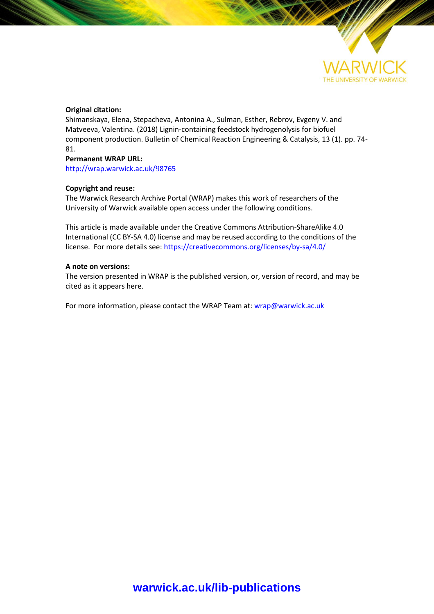

## **Original citation:**

Shimanskaya, Elena, Stepacheva, Аntonina A., Sulman, Esther, Rebrov, Evgeny V. and Matveeva, Valentina. (2018) Lignin-containing feedstock hydrogenolysis for biofuel component production. Bulletin of Chemical Reaction Engineering & Catalysis, 13 (1). pp. 74- 81.

### **Permanent WRAP URL:**

[http://wrap.warwick.ac.uk/](http://wrap.warwick.ac.uk/98765)98765

## **Copyright and reuse:**

The Warwick Research Archive Portal (WRAP) makes this work of researchers of the University of Warwick available open access under the following conditions.

This article is made available under the Creative Commons Attribution-ShareAlike 4.0 International (CC BY-SA 4.0) license and may be reused according to the conditions of the license. For more details see[: https://creativecommons.org/licenses/by-sa/4.0/](https://creativecommons.org/licenses/by-sa/4.0/) 

### **A note on versions:**

The version presented in WRAP is the published version, or, version of record, and may be cited as it appears here.

For more information, please contact the WRAP Team at[: wrap@warwick.ac.uk](mailto:wrap@warwick.ac.uk)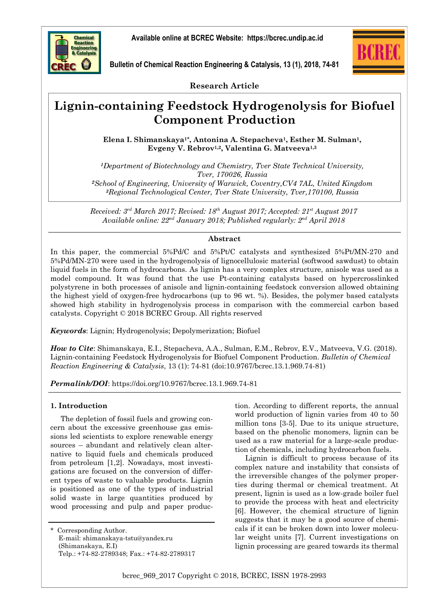

**Bulletin of Chemical Reaction Engineering & Catalysis, 13 (1), 2018, 74-81** 



**Research Article**

# **Lignin-containing Feedstock Hydrogenolysis for Biofuel Component Production**

**Elena I. Shimanskaya1\*, Antonina A. Stepacheva1, Esther M. Sulman1, Evgeny V. Rebrov1,2, Valentina G. Matveeva1,3**

*Department of Biotechnology and Chemistry, Tver State Technical University, Tver, 170026, Russia School of Engineering, University of Warwick, Coventry,CV4 7AL, United Kingdom Regional Technological Center, Tver State University, Tver,170100, Russia* 

*Received: 3rd March 2017; Revised: 18th August 2017; Accepted: 21st August 2017 Available online: 22nd January 2018; Published regularly: 2nd April 2018* 

#### **Abstract**

In this paper, the commercial 5%Pd/C and 5%Pt/C catalysts and synthesized 5%Pt/MN-270 and 5%Pd/MN-270 were used in the hydrogenolysis of lignocellulosic material (softwood sawdust) to obtain liquid fuels in the form of hydrocarbons. As lignin has a very complex structure, anisole was used as a model compound. It was found that the use Pt-containing catalysts based on hypercrosslinked polystyrene in both processes of anisole and lignin-containing feedstock conversion allowed obtaining the highest yield of oxygen-free hydrocarbons (up to 96 wt. %). Besides, the polymer based catalysts showed high stability in hydrogenolysis process in comparison with the commercial carbon based catalysts. Copyright © 2018 BCREC Group. All rights reserved

*Keywords*: Lignin; Hydrogenolysis; Depolymerization; Biofuel

*How to Cite*: Shimanskaya, E.I., Stepacheva, A.A., Sulman, E.M., Rebrov, E.V., Matveeva, V.G. (2018). Lignin-containing Feedstock Hydrogenolysis for Biofuel Component Production. *Bulletin of Chemical Reaction Engineering & Catalysis*, 13 (1): 74-81 (doi:10.9767/bcrec.13.1.969.74-81)

*Permalink/DOI*: https://doi.org/10.9767/bcrec.13.1.969.74-81

## **1. Introduction**

The depletion of fossil fuels and growing concern about the excessive greenhouse gas emissions led scientists to explore renewable energy sources – abundant and relatively clean alternative to liquid fuels and chemicals produced from petroleum [1,2]. Nowadays, most investigations are focused on the conversion of different types of waste to valuable products. Lignin is positioned as one of the types of industrial solid waste in large quantities produced by wood processing and pulp and paper produc-

\* Corresponding Author. E-mail: shimanskaya-tstu@yandex.ru (Shimanskaya, E.I) Telp.: +74-82-2789348; Fax.: +74-82-2789317 tion. According to different reports, the annual world production of lignin varies from 40 to 50 million tons [3-5]. Due to its unique structure, based on the phenolic monomers, lignin can be used as a raw material for a large-scale production of chemicals, including hydrocarbon fuels.

Lignin is difficult to process because of its complex nature and instability that consists of the irreversible changes of the polymer properties during thermal or chemical treatment. At present, lignin is used as a low-grade boiler fuel to provide the process with heat and electricity [6]. However, the chemical structure of lignin suggests that it may be a good source of chemicals if it can be broken down into lower molecular weight units [7]. Current investigations on lignin processing are geared towards its thermal

bcrec\_969\_2017 Copyright © 2018, BCREC, ISSN 1978-2993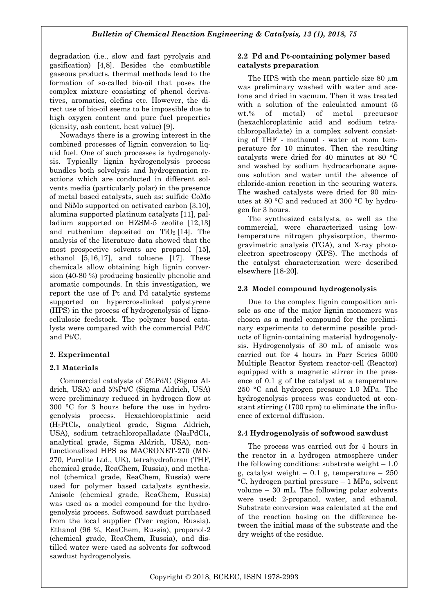degradation (i.e., slow and fast pyrolysis and gasification) [4,8]. Besides the combustible gaseous products, thermal methods lead to the formation of so-called bio-oil that poses the complex mixture consisting of phenol derivatives, aromatics, olefins etc. However, the direct use of bio-oil seems to be impossible due to high oxygen content and pure fuel properties (density, ash content, heat value) [9].

Nowadays there is a growing interest in the combined processes of lignin conversion to liquid fuel. One of such processes is hydrogenolysis. Typically lignin hydrogenolysis process bundles both solvolysis and hydrogenation reactions which are conducted in different solvents media (particularly polar) in the presence of metal based catalysts, such as: sulfide CoMo and NiMo supported on activated carbon [3,10], alumina supported platinum catalysts [11], palladium supported on HZSM-5 zeolite [12,13] and ruthenium deposited on  $TiO<sub>2</sub>$  [14]. The analysis of the literature data showed that the most prospective solvents are propanol [15], ethanol [5,16,17], and toluene [17]. These chemicals allow obtaining high lignin conversion (40-80 %) producing basically phenolic and aromatic compounds. In this investigation, we report the use of Pt and Pd catalytic systems supported on hypercrosslinked polystyrene (HPS) in the process of hydrogenolysis of lignocellulosic feedstock. The polymer based catalysts were compared with the commercial Pd/C and Pt/C.

# **2. Experimental**

## **2.1 Materials**

Commercial catalysts of 5%Pd/C (Sigma Aldrich, USA) and 5%Pt/C (Sigma Aldrich, USA) were preliminary reduced in hydrogen flow at 300 °C for 3 hours before the use in hydrogenolysis process. Hexachloroplatinic acid (H2PtCl6, analytical grade, Sigma Aldrich, USA), sodium tetrachloropalladate (Na<sub>2</sub>PdCl<sub>4</sub>, analytical grade, Sigma Aldrich, USA), nonfunctionalized HPS as MACRONET-270 (MN-270, Purolite Ltd., UK), tetrahydrofuran (THF, chemical grade, ReaChem, Russia), and methanol (chemical grade, ReaChem, Russia) were used for polymer based catalysts synthesis. Anisole (chemical grade, ReaChem, Russia) was used as a model compound for the hydrogenolysis process. Softwood sawdust purchased from the local supplier (Tver region, Russia). Ethanol (96 %, ReaChem, Russia), propanol-2 (chemical grade, ReaChem, Russia), and distilled water were used as solvents for softwood sawdust hydrogenolysis.

## **2.2 Pd and Pt-containing polymer based catalysts preparation**

The HPS with the mean particle size 80  $\mu$ m was preliminary washed with water and acetone and dried in vacuum. Then it was treated with a solution of the calculated amount  $(5)$ wt.% of metal) of metal precursor (hexachloroplatinic acid and sodium tetrachloropalladate) in a complex solvent consisting of THF - methanol - water at room temperature for 10 minutes. Then the resulting catalysts were dried for 40 minutes at 80 °С and washed by sodium hydrocarbonate aqueous solution and water until the absence of chloride-anion reaction in the scouring waters. The washed catalysts were dried for 90 minutes at 80 °С and reduced at 300 °C by hydrogen for 3 hours.

The synthesized catalysts, as well as the commercial, were characterized using lowtemperature nitrogen physisorption, thermogravimetric analysis (TGA), and X-ray photoelectron spectroscopy (XPS). The methods of the catalyst characterization were described elsewhere [18-20].

## **2.3 Model compound hydrogenolysis**

Due to the complex lignin composition anisole as one of the major lignin monomers was chosen as a model compound for the preliminary experiments to determine possible products of lignin-containing material hydrogenolysis. Hydrogenolysis of 30 mL of anisole was carried out for 4 hours in Parr Series 5000 Multiple Reactor System reactor-cell (Reactor) equipped with a magnetic stirrer in the presence of 0.1 g of the catalyst at a temperature 250 °C and hydrogen pressure 1.0 MPa. The hydrogenolysis process was conducted at constant stirring (1700 rpm) to eliminate the influence of external diffusion.

## **2.4 Hydrogenolysis of softwood sawdust**

The process was carried out for 4 hours in the reactor in a hydrogen atmosphere under the following conditions: substrate weight  $-1.0$ g, catalyst weight – 0.1 g, temperature –  $250$ °C, hydrogen partial pressure – 1 MPa, solvent volume – 30 mL. The following polar solvents were used: 2-propanol, water, and ethanol. Substrate conversion was calculated at the end of the reaction basing on the difference between the initial mass of the substrate and the dry weight of the residue.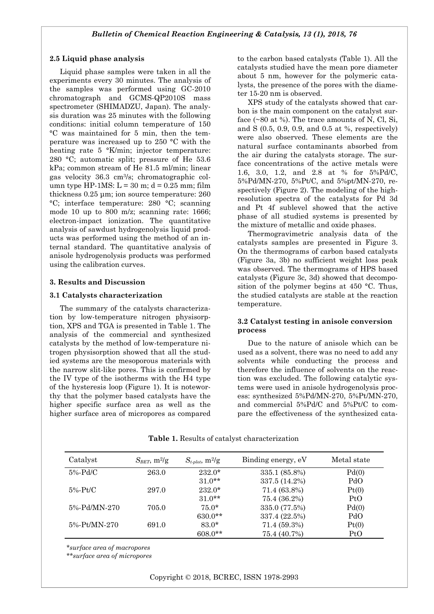#### **2.5 Liquid phase analysis**

Liquid phase samples were taken in all the experiments every 30 minutes. The analysis of the samples was performed using GC-2010 chromatograph and GCMS-QP2010S mass spectrometer (SHIMADZU, Japan). The analysis duration was 25 minutes with the following conditions: initial column temperature of 150 °C was maintained for 5 min, then the temperature was increased up to 250 °C with the heating rate 5 °K/min; injector temperature: 280 °C; automatic split; pressure of He 53.6 kPa; common stream of He 81.5 ml/min; linear gas velocity 36.3 cm3/s; chromatographic column type HP-1MS:  $L = 30$  m;  $d = 0.25$  mm; film thickness 0.25 μm; ion source temperature: 260 °C; interface temperature: 280 °C; scanning mode 10 up to 800 m/z; scanning rate: 1666; electron-impact ionization. The quantitative analysis of sawdust hydrogenolysis liquid products was performed using the method of an internal standard. The quantitative analysis of anisole hydrogenolysis products was performed using the calibration curves.

#### **3. Results and Discussion**

#### **3.1 Catalysts characterization**

The summary of the catalysts characterization by low-temperature nitrogen physisorption, XPS and TGA is presented in Table 1. The analysis of the commercial and synthesized catalysts by the method of low-temperature nitrogen physisorption showed that all the studied systems are the mesoporous materials with the narrow slit-like pores. This is confirmed by the IV type of the isotherms with the H4 type of the hysteresis loop (Figure 1). It is noteworthy that the polymer based catalysts have the higher specific surface area as well as the higher surface area of micropores as compared to the carbon based catalysts (Table 1). All the catalysts studied have the mean pore diameter about 5 nm, however for the polymeric catalysts, the presence of the pores with the diameter 15-20 nm is observed.

XPS study of the catalysts showed that carbon is the main component on the catalyst surface  $(\sim 80$  at %). The trace amounts of N, Cl, Si, and S (0.5, 0.9, 0.9, and 0.5 at %, respectively) were also observed. These elements are the natural surface contaminants absorbed from the air during the catalysts storage. The surface concentrations of the active metals were 1.6, 3.0, 1.2, and 2.8 at % for 5%Pd/C, 5%Pd/MN-270, 5%Pt/C, and 5%pt/MN-270, respectively (Figure 2). The modeling of the highresolution spectra of the catalysts for Pd 3d and Pt 4f sublevel showed that the active phase of all studied systems is presented by the mixture of metallic and oxide phases.

Thermogravimetric analysis data of the catalysts samples are presented in Figure 3. On the thermograms of carbon based catalysts (Figure 3a, 3b) no sufficient weight loss peak was observed. The thermograms of HPS based catalysts (Figure 3c, 3d) showed that decomposition of the polymer begins at 450 °C. Thus, the studied catalysts are stable at the reaction temperature.

#### **3.2 Catalyst testing in anisole conversion process**

Due to the nature of anisole which can be used as a solvent, there was no need to add any solvents while conducting the process and therefore the influence of solvents on the reaction was excluded. The following catalytic systems were used in anisole hydrogenolysis process: synthesized 5%Pd/MN-270, 5%Pt/MN-270, and commercial 5%Pd/C and 5%Pt/C to compare the effectiveness of the synthesized cata-

| Catalyst     | $S_{BET}$ , m <sup>2</sup> /g | $S_{t-plot}$ , m <sup>2</sup> /g | Binding energy, eV | Metal state |
|--------------|-------------------------------|----------------------------------|--------------------|-------------|
| $5\%$ -Pd/C  | 263.0                         | $232.0*$                         | 335.1 (85.8%)      | Pd(0)       |
|              |                               | $31.0**$                         | 337.5 (14.2%)      | PdO         |
| $5\%$ -Pt/C  | 297.0                         | $232.0*$                         | 71.4 (63.8%)       | Pt(0)       |
|              |                               | $31.0**$                         | 75.4 (36.2%)       | PtO         |
| 5%-Pd/MN-270 | 705.0                         | $75.0*$                          | 335.0 (77.5%)      | Pd(0)       |
|              |                               | 630.0**                          | 337.4 (22.5%)      | PdO         |
| 5%-Pt/MN-270 | 691.0                         | $83.0*$                          | 71.4 (59.3%)       | Pt(0)       |
|              |                               | $608.0**$                        | 75.4 (40.7%)       | PtO         |

**Table 1.** Results of catalyst characterization

*\*surface area of macropores* 

*\*\*surface area of micropores*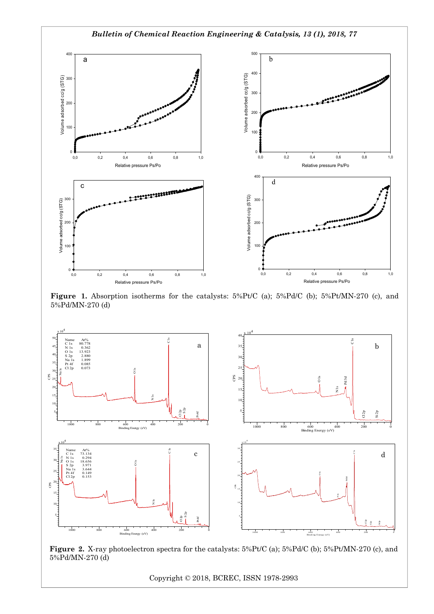

**Figure 1.** Absorption isotherms for the catalysts: 5%Pt/C (a); 5%Pd/C (b); 5%Pt/MN-270 (c), and 5%Pd/MN-270 (d)



**Figure 2.** X-ray photoelectron spectra for the catalysts: 5%Pt/C (a); 5%Pd/C (b); 5%Pt/MN-270 (c), and 5%Pd/MN-270 (d)

Copyright © 2018, BCREC, ISSN 1978-2993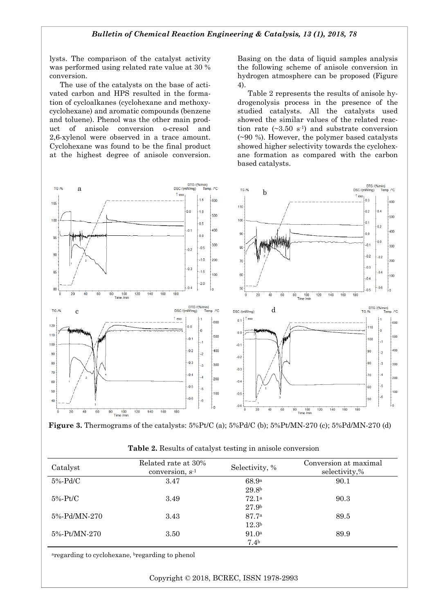lysts. The comparison of the catalyst activity was performed using related rate value at 30 % conversion.

The use of the catalysts on the base of activated carbon and HPS resulted in the formation of cycloalkanes (cyclohexane and methoxycyclohexane) and aromatic compounds (benzene and toluene). Phenol was the other main product of anisole conversion o-cresol and 2,6-xylenol were observed in a trace amount. Cyclohexane was found to be the final product at the highest degree of anisole conversion.

Basing on the data of liquid samples analysis the following scheme of anisole conversion in hydrogen atmosphere can be proposed (Figure 4).

Table 2 represents the results of anisole hydrogenolysis process in the presence of the studied catalysts. All the catalysts used showed the similar values of the related reaction rate  $(\sim 3.50 \text{ s}^{-1})$  and substrate conversion (~90 %). However, the polymer based catalysts showed higher selectivity towards the cyclohexane formation as compared with the carbon based catalysts.



**Figure 3.** Thermograms of the catalysts: 5%Pt/C (a); 5%Pd/C (b); 5%Pt/MN-270 (c); 5%Pd/MN-270 (d)

| Table 2. Results of catalyst testing in anisole conversion |  |  |  |
|------------------------------------------------------------|--|--|--|
|------------------------------------------------------------|--|--|--|

| Catalyst     | Related rate at 30%<br>conversion, s <sup>-1</sup> | Selectivity, %    | Conversion at maximal<br>selectivity,% |  |
|--------------|----------------------------------------------------|-------------------|----------------------------------------|--|
| 5%-Pd/C      | 3.47                                               | 68.9a             | 90.1                                   |  |
|              |                                                    | 29.8 <sup>b</sup> |                                        |  |
| $5\%$ -Pt/C  | 3.49                                               | 72.1 <sup>a</sup> | 90.3                                   |  |
|              |                                                    | 27.9 <sup>b</sup> |                                        |  |
| 5%-Pd/MN-270 | 3.43                                               | 87.7a             | 89.5                                   |  |
|              |                                                    | 12.3 <sup>b</sup> |                                        |  |
| 5%-Pt/MN-270 | 3.50                                               | 91.0 <sup>a</sup> | 89.9                                   |  |
|              |                                                    | 7.4 <sup>b</sup>  |                                        |  |

aregarding to cyclohexane, bregarding to phenol

Copyright © 2018, BCREC, ISSN 1978-2993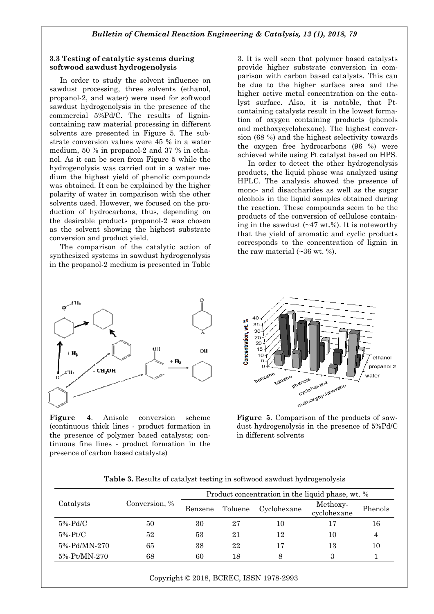#### **3.3 Testing of catalytic systems during softwood sawdust hydrogenolysis**

In order to study the solvent influence on sawdust processing, three solvents (ethanol, propanol-2, and water) were used for softwood sawdust hydrogenolysis in the presence of the commercial 5%Pd/C. The results of lignincontaining raw material processing in different solvents are presented in Figure 5. The substrate conversion values were 45 % in a water medium, 50 % in propanol-2 and 37 % in ethanol. As it can be seen from Figure 5 while the hydrogenolysis was carried out in a water medium the highest yield of phenolic compounds was obtained. It can be explained by the higher polarity of water in comparison with the other solvents used. However, we focused on the production of hydrocarbons, thus, depending on the desirable products propanol-2 was chosen as the solvent showing the highest substrate conversion and product yield.

The comparison of the catalytic action of synthesized systems in sawdust hydrogenolysis in the propanol-2 medium is presented in Table



**Figure 4**. Anisole conversion scheme (continuous thick lines - product formation in the presence of polymer based catalysts; continuous fine lines - product formation in the presence of carbon based catalysts)

3. It is well seen that polymer based catalysts provide higher substrate conversion in comparison with carbon based catalysts. This can be due to the higher surface area and the higher active metal concentration on the catalyst surface. Also, it is notable, that Ptcontaining catalysts result in the lowest formation of oxygen containing products (phenols and methoxycyclohexane). The highest conversion (68 %) and the highest selectivity towards the oxygen free hydrocarbons (96 %) were achieved while using Pt catalyst based on HPS.

In order to detect the other hydrogenolysis products, the liquid phase was analyzed using HPLC. The analysis showed the presence of mono- and disaccharides as well as the sugar alcohols in the liquid samples obtained during the reaction. These compounds seem to be the products of the conversion of cellulose containing in the sawdust  $(\sim 47 \text{ wt.})\%$ ). It is noteworthy that the yield of aromatic and cyclic products corresponds to the concentration of lignin in the raw material  $(\sim 36 \text{ wt. } %).$ 



**Figure 5**. Comparison of the products of sawdust hydrogenolysis in the presence of 5%Pd/C in different solvents

| Catalysts    | Conversion, % | Product concentration in the liquid phase, wt. % |         |             |                         |         |
|--------------|---------------|--------------------------------------------------|---------|-------------|-------------------------|---------|
|              |               | Benzene                                          | Toluene | Cyclohexane | Methoxy-<br>cyclohexane | Phenols |
| $5\%$ -Pd/C  | 50            | 30                                               | 27      | 10          |                         | 16      |
| $5\%$ -Pt/C  | 52            | 53                                               | 21      | 12          | 10                      | 4       |
| 5%-Pd/MN-270 | 65            | 38                                               | 22      | 17          | 13                      | 10      |
| 5%-Pt/MN-270 | 68            | 60                                               | 18      |             | З                       |         |

**Table 3.** Results of catalyst testing in softwood sawdust hydrogenolysis

Copyright © 2018, BCREC, ISSN 1978-2993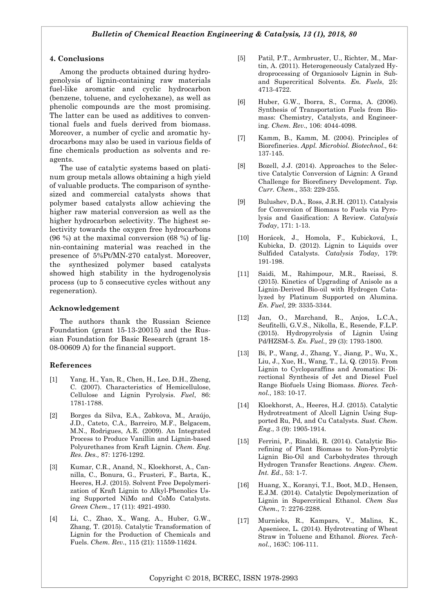#### **4. Conclusions**

Among the products obtained during hydrogenolysis of lignin-containing raw materials fuel-like aromatic and cyclic hydrocarbon (benzene, toluene, and cyclohexane), as well as phenolic compounds are the most promising. The latter can be used as additives to conventional fuels and fuels derived from biomass. Moreover, a number of cyclic and aromatic hydrocarbons may also be used in various fields of fine chemicals production as solvents and reagents.

The use of catalytic systems based on platinum group metals allows obtaining a high yield of valuable products. The comparison of synthesized and commercial catalysts shows that polymer based catalysts allow achieving the higher raw material conversion as well as the higher hydrocarbon selectivity. The highest selectivity towards the oxygen free hydrocarbons (96 %) at the maximal conversion (68 %) of lignin-containing material was reached in the presence of 5%Pt/MN-270 catalyst. Moreover, the synthesized polymer based catalysts showed high stability in the hydrogenolysis process (up to 5 consecutive cycles without any regeneration).

#### **Acknowledgement**

The authors thank the Russian Science Foundation (grant 15-13-20015) and the Russian Foundation for Basic Research (grant 18- 08-00609 A) for the financial support.

#### **References**

- [1] Yang, H., Yan, R., Chen, H., Lee, D.H., Zheng, C. (2007). Characteristics of Hemicellulose, Cellulose and Lignin Pyrolysis. *Fuel*, 86: 1781-1788.
- [2] Borges da Silva, E.A., Zabkova, M., Araújo, J.D., Cateto, C.A., Barreiro, M.F., Belgacem, M.N., Rodrigues, A.E. (2009). An Integrated Process to Produce Vanillin and Lignin-based Polyurethanes from Kraft Lignin. *Chem. Eng. Res. Des.,* 87: 1276-1292.
- [3] Kumar, C.R., Anand, N., Kloekhorst, A., Cannilla, C., Bonura, G., Frusteri, F., Barta, K., Heeres, H.J. (2015). Solvent Free Depolymerization of Kraft Lignin to Alkyl-Phenolics Using Supported NiMo and CoMo Catalysts. *Green Chem*., 17 (11): 4921-4930.
- [4] Li, C., Zhao, X., Wang, A., Huber, G.W., Zhang, T. (2015). Catalytic Transformation of Lignin for the Production of Chemicals and Fuels. *Chem. Rev*., 115 (21): 11559-11624.
- [5] Patil, P.T., Armbruster, U., Richter, M., Martin, A. (2011). Heterogeneously Catalyzed Hydroprocessing of Organiosolv Lignin in Suband Supercritical Solvents. *En. Fuels*, 25: 4713-4722.
- [6] Huber, G.W., Iborra, S., Corma, A. (2006). Synthesis of Transportation Fuels from Biomass: Chemistry, Catalysts, and Engineering. *Chem. Rev*., 106: 4044-4098.
- [7] Kamm, B., Kamm, M. (2004). Principles of Biorefineries. *Appl. Microbiol. Biotechnol*., 64: 137-145.
- [8] Bozell, J.J. (2014). Approaches to the Selective Catalytic Conversion of Lignin: A Grand Challenge for Biorefinery Development. *Top. Curr. Chem*., 353: 229-255.
- [9] Bulushev, D.A., Ross, J.R.H. (2011). Catalysis for Conversion of Biomass to Fuels via Pyrolysis and Gasification: A Review. *Catalysis Today*, 171: 1-13.
- [10] Horácek, J., Homola, F., Kubicková, I., Kubicka, D. (2012). Lignin to Liquids over Sulfided Catalysts. *Catalysis Today*, 179: 191-198.
- [11] Saidi, M., Rahimpour, M.R., Raeissi, S. (2015). Kinetics of Upgrading of Anisole as a Lignin-Derived Bio-oil with Hydrogen Catalyzed by Platinum Supported on Alumina. *En. Fuel*, 29: 3335-3344.
- [12] Jan, O., Marchand, R., Anjos, L.C.A., Seufitelli, G.V.S., Nikolla, E., Resende, F.L.P. (2015). Hydropyrolysis of Lignin Using Pd/HZSM-5. *En. Fuel.*, 29 (3): 1793-1800.
- [13] Bi, P., Wang, J., Zhang, Y., Jiang, P., Wu, X., Liu, J., Xue, H., Wang, T., Li, Q. (2015). From Lignin to Cycloparaffins and Aromatics: Directional Synthesis of Jet and Diesel Fuel Range Biofuels Using Biomass. *Biores. Technol.*, 183: 10-17.
- [14] Kloekhorst, A., Heeres, H.J. (2015). Catalytic Hydrotreatment of Alcell Lignin Using Supported Ru, Pd, and Cu Catalysts. *Sust. Chem. Eng*., 3 (9): 1905-1914.
- [15] Ferrini, P., Rinaldi, R. (2014). Catalytic Biorefining of Plant Biomass to Non-Pyrolytic Lignin Bio-Oil and Carbohydrates through Hydrogen Transfer Reactions. *Angew. Chem. Int. Ed*., 53: 1-7.
- [16] Huang, X., Koranyi, T.I., Boot, M.D., Hensen, E.J.M. (2014). Catalytic Depolymerization of Lignin in Supercritical Ethanol. *Chem Sus Chem*., 7: 2276-2288.
- [17] Murnieks, R., Kampars, V., Malins, K., Apseniece, L. (2014). Hydrotreating of Wheat Straw in Toluene and Ethanol. *Biores. Technol.*, 163C: 106-111.